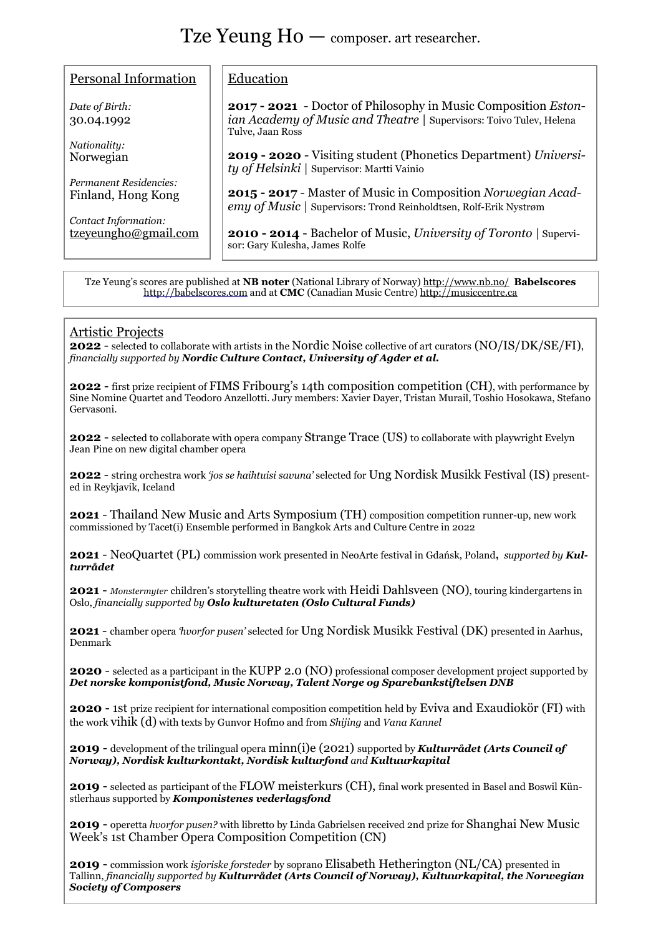## Tze Yeung Ho — composer. art researcher.

| Personal Information                                                                                                                                                                                     | Education                                                                                                                                                 |  |
|----------------------------------------------------------------------------------------------------------------------------------------------------------------------------------------------------------|-----------------------------------------------------------------------------------------------------------------------------------------------------------|--|
| Date of Birth:<br>30.04.1992                                                                                                                                                                             | 2017 - 2021 - Doctor of Philosophy in Music Composition Eston-<br>ian Academy of Music and Theatre   Supervisors: Toivo Tulev, Helena<br>Tulve, Jaan Ross |  |
| Nationality:                                                                                                                                                                                             |                                                                                                                                                           |  |
| Norwegian                                                                                                                                                                                                | 2019 - 2020 - Visiting student (Phonetics Department) Universi-<br>ty of Helsinki   Supervisor: Martti Vainio                                             |  |
| Permanent Residencies:<br>Finland, Hong Kong                                                                                                                                                             | 2015 - 2017 - Master of Music in Composition Norwegian Acad-<br>emy of Music   Supervisors: Trond Reinholdtsen, Rolf-Erik Nystrøm                         |  |
| Contact Information:                                                                                                                                                                                     |                                                                                                                                                           |  |
| tzeyeungho@gmail.com                                                                                                                                                                                     | <b>2010 - 2014 - Bachelor of Music, University of Toronto</b>   Supervi-<br>sor: Gary Kulesha, James Rolfe                                                |  |
|                                                                                                                                                                                                          |                                                                                                                                                           |  |
| Tze Yeung's scores are published at <b>NB noter</b> (National Library of Norway) http://www.nb.no/ <b>Babelscores</b><br>http://babelscores.com and at CMC (Canadian Music Centre) http://musiccentre.ca |                                                                                                                                                           |  |

## Artistic Projects

**2022** - selected to collaborate with artists in the Nordic Noise collective of art curators (NO/IS/DK/SE/FI), *financially supported by Nordic Culture Contact, University of Agder et al.*

**2022** - first prize recipient of FIMS Fribourg's 14th composition competition (CH), with performance by Sine Nomine Quartet and Teodoro Anzellotti. Jury members: Xavier Dayer, Tristan Murail, Toshio Hosokawa, Stefano Gervasoni.

**2022** - selected to collaborate with opera company Strange Trace (US) to collaborate with playwright Evelyn Jean Pine on new digital chamber opera

**2022** - string orchestra work *'jos se haihtuisi savuna'* selected for Ung Nordisk Musikk Festival (IS) presented in Reykjavik, Iceland

**2021** - Thailand New Music and Arts Symposium (TH) composition competition runner-up, new work commissioned by Tacet(i) Ensemble performed in Bangkok Arts and Culture Centre in 2022

**2021** - NeoQuartet (PL) commission work presented in NeoArte festival in Gdańsk, Poland**,** *supported by Kulturrådet* 

**2021** - *Monstermyter* children's storytelling theatre work with Heidi Dahlsveen (NO), touring kindergartens in Oslo, *financially supported by Oslo kulturetaten (Oslo Cultural Funds)*

**2021** - chamber opera *'hvorfor pusen'* selected for Ung Nordisk Musikk Festival (DK) presented in Aarhus, Denmark

**2020** - selected as a participant in the KUPP 2.0 (NO) professional composer development project supported by *Det norske komponistfond, Music Norway, Talent Norge og Sparebankstiftelsen DNB*

**2020** - 1st prize recipient for international composition competition held by Eviva and Exaudiokör (FI) with the work vihik (d) with texts by Gunvor Hofmo and from *Shijing* and *Vana Kannel*

**2019** - development of the trilingual opera minn(i)e (2021) supported by *Kulturrådet (Arts Council of Norway), Nordisk kulturkontakt, Nordisk kulturfond and Kultuurkapital* 

**2019** - selected as participant of the FLOW meisterkurs (CH), final work presented in Basel and Boswil Künstlerhaus supported by *Komponistenes vederlagsfond*

**2019** - operetta *hvorfor pusen?* with libretto by Linda Gabrielsen received 2nd prize for Shanghai New Music Week's 1st Chamber Opera Composition Competition (CN)

**2019** - commission work *isjoriske forsteder* by soprano Elisabeth Hetherington (NL/CA) presented in Tallinn, *financially supported by Kulturrådet (Arts Council of Norway), Kultuurkapital, the Norwegian Society of Composers*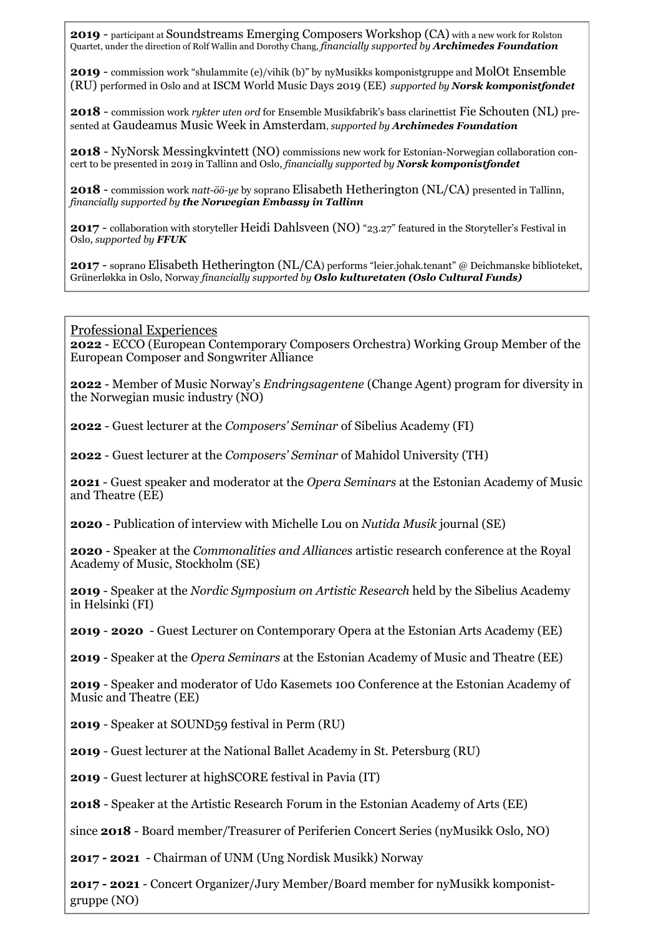**2019** - participant at Soundstreams Emerging Composers Workshop (CA) with a new work for Rolston Quartet, under the direction of Rolf Wallin and Dorothy Chang, *financially supported by Archimedes Foundation*

**2019** - commission work "shulammite (e)/vihik (b)" by nyMusikks komponistgruppe and MolOt Ensemble (RU) performed in Oslo and at ISCM World Music Days 2019 (EE) *supported by Norsk komponistfondet*

**2018** - commission work *rykter uten ord* for Ensemble Musikfabrik's bass clarinettist Fie Schouten (NL) presented at Gaudeamus Music Week in Amsterdam, *supported by Archimedes Foundation*

**2018** - NyNorsk Messingkvintett (NO) commissions new work for Estonian-Norwegian collaboration concert to be presented in 2019 in Tallinn and Oslo, *financially supported by Norsk komponistfondet*

**2018** - commission work *natt-öö-ye* by soprano Elisabeth Hetherington (NL/CA) presented in Tallinn, *financially supported by the Norwegian Embassy in Tallinn*

**2017** - collaboration with storyteller Heidi Dahlsveen (NO) "23.27" featured in the Storyteller's Festival in Oslo, *supported by FFUK*

**2017** - soprano Elisabeth Hetherington (NL/CA) performs "leier.johak.tenant" @ Deichmanske biblioteket, Grünerløkka in Oslo, Norway *financially supported by Oslo kulturetaten (Oslo Cultural Funds)*

Professional Experiences

**2022** - ECCO (European Contemporary Composers Orchestra) Working Group Member of the European Composer and Songwriter Alliance

**2022** - Member of Music Norway's *Endringsagentene* (Change Agent) program for diversity in the Norwegian music industry (NO)

**2022** - Guest lecturer at the *Composers' Seminar* of Sibelius Academy (FI)

**2022** - Guest lecturer at the *Composers' Seminar* of Mahidol University (TH)

**2021** - Guest speaker and moderator at the *Opera Seminars* at the Estonian Academy of Music and Theatre (EE)

**2020** - Publication of interview with Michelle Lou on *Nutida Musik* journal (SE)

**2020** - Speaker at the *Commonalities and Alliances* artistic research conference at the Royal Academy of Music, Stockholm (SE)

**2019** - Speaker at the *Nordic Symposium on Artistic Research* held by the Sibelius Academy in Helsinki (FI)

**2019** - **2020** - Guest Lecturer on Contemporary Opera at the Estonian Arts Academy (EE)

**2019** - Speaker at the *Opera Seminars* at the Estonian Academy of Music and Theatre (EE)

**2019** - Speaker and moderator of Udo Kasemets 100 Conference at the Estonian Academy of Music and Theatre (EE)

**2019** - Speaker at SOUND59 festival in Perm (RU)

**2019** - Guest lecturer at the National Ballet Academy in St. Petersburg (RU)

**2019** - Guest lecturer at highSCORE festival in Pavia (IT)

**2018** - Speaker at the Artistic Research Forum in the Estonian Academy of Arts (EE)

since **2018** - Board member/Treasurer of Periferien Concert Series (nyMusikk Oslo, NO)

**2017 - 2021** - Chairman of UNM (Ung Nordisk Musikk) Norway

**2017 - 2021** - Concert Organizer/Jury Member/Board member for nyMusikk komponistgruppe (NO)